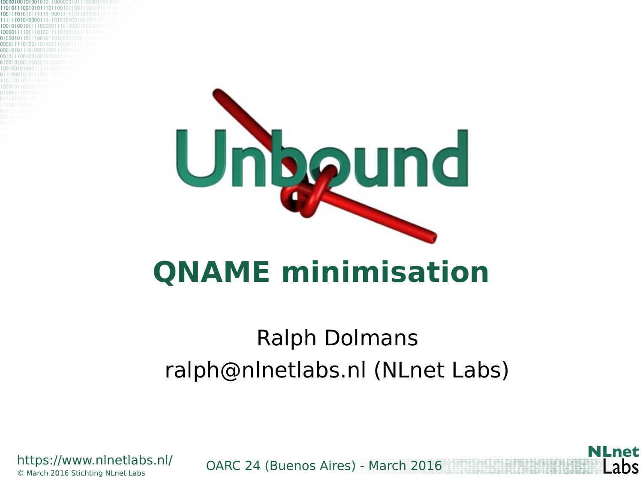

#### **QNAME minimisation**

#### Ralph Dolmans ralph@nlnetlabs.nl (NLnet Labs)



OARC 24 (Buenos Aires) - March 2016 © March 2016 Stichting NLnet Labs

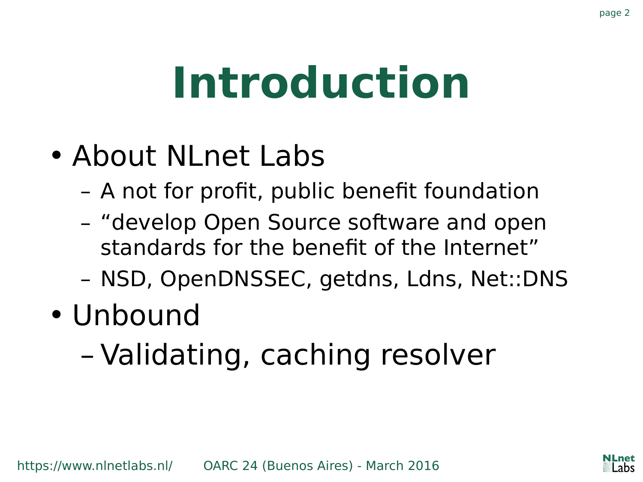#### **Introduction**

- About NLnet Labs
	- A not for profit, public benefit foundation
	- "develop Open Source software and open standards for the benefit of the Internet"
	- NSD, OpenDNSSEC, getdns, Ldns, Net::DNS
- Unbound
	- Validating, caching resolver

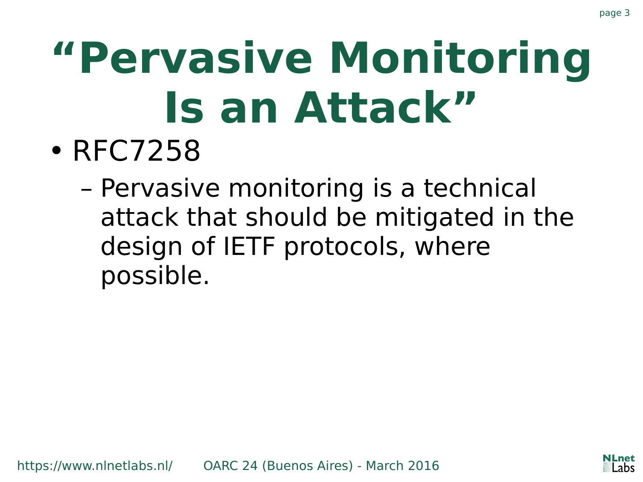# **"Pervasive Monitoring Is an Attack"**

- RFC7258
	- Pervasive monitoring is a technical attack that should be mitigated in the design of IETF protocols, where possible.

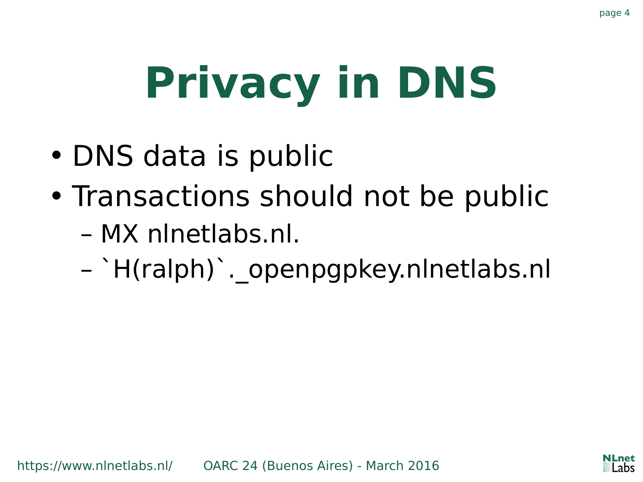# **Privacy in DNS**

- DNS data is public
- Transactions should not be public
	- MX nlnetlabs.nl.
	- `H(ralph)`.\_openpgpkey.nlnetlabs.nl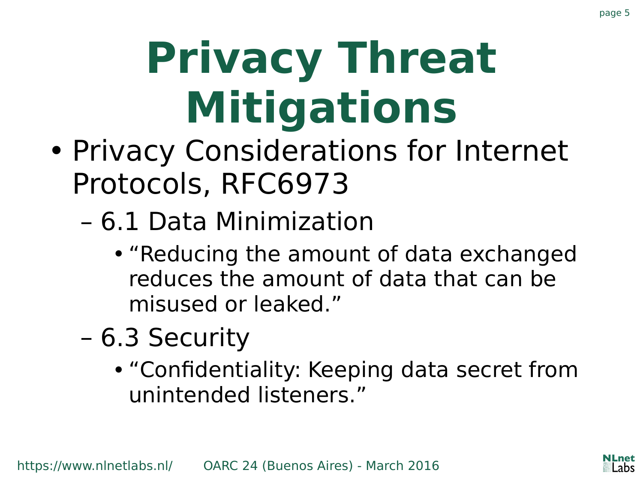# **Privacy Threat Mitigations**

- Privacy Considerations for Internet Protocols, RFC6973
	- 6.1 Data Minimization
		- "Reducing the amount of data exchanged reduces the amount of data that can be misused or leaked."
	- 6.3 Security
		- "Confidentiality: Keeping data secret from unintended listeners."

page 5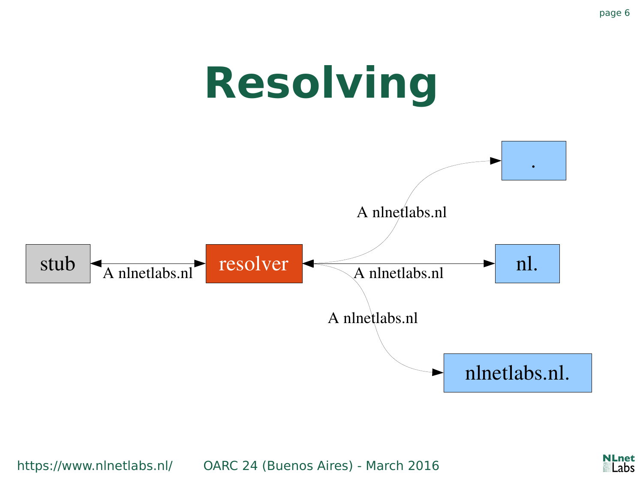

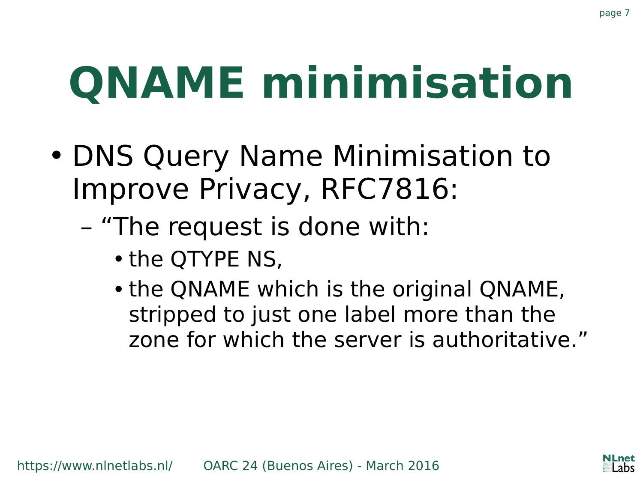## **QNAME minimisation**

- DNS Query Name Minimisation to Improve Privacy, RFC7816:
	- "The request is done with:
		- the QTYPE NS,
		- the QNAME which is the original QNAME, stripped to just one label more than the zone for which the server is authoritative."

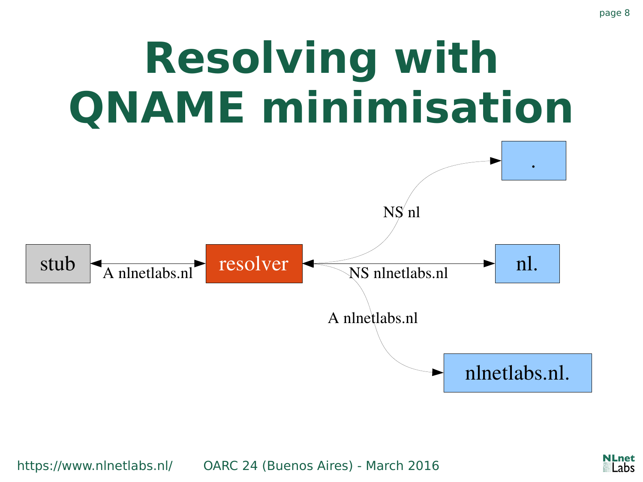#### **Resolving with QNAME minimisation**



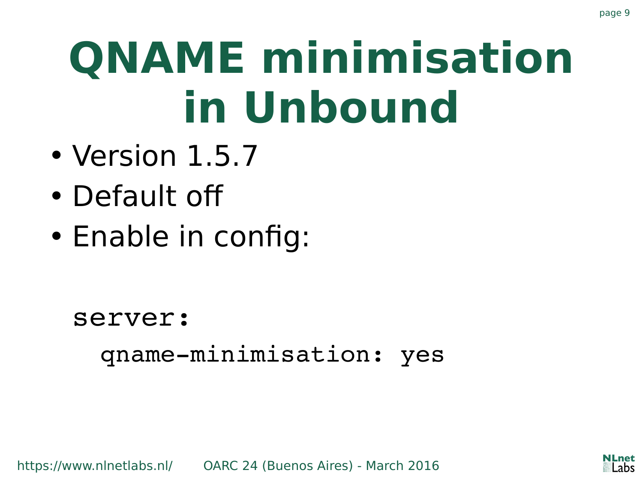## **QNAME minimisation in Unbound**

- Version 1.5.7
- Default off
- Enable in config:

server: qname-minimisation: yes

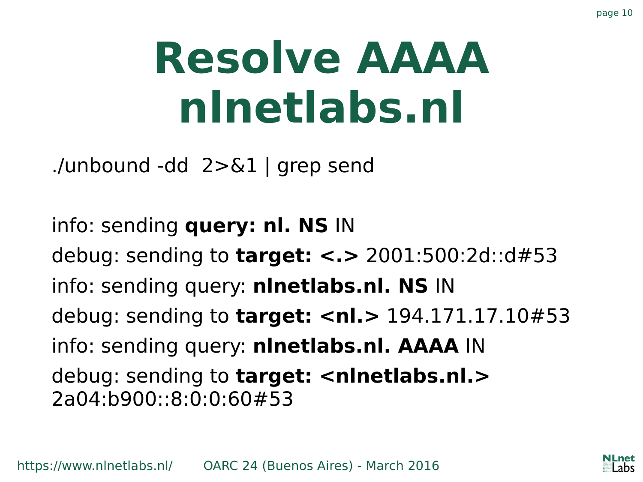#### **Resolve AAAA nlnetlabs.nl**

./unbound -dd 2>&1 | grep send

info: sending **query: nl. NS** IN debug: sending to **target: <.>** 2001:500:2d::d#53 info: sending query: **nlnetlabs.nl. NS** IN debug: sending to **target: <nl.>** 194.171.17.10#53 info: sending query: **nlnetlabs.nl. AAAA** IN debug: sending to **target: <nlnetlabs.nl.>** 2a04:b900::8:0:0:60#53



page 10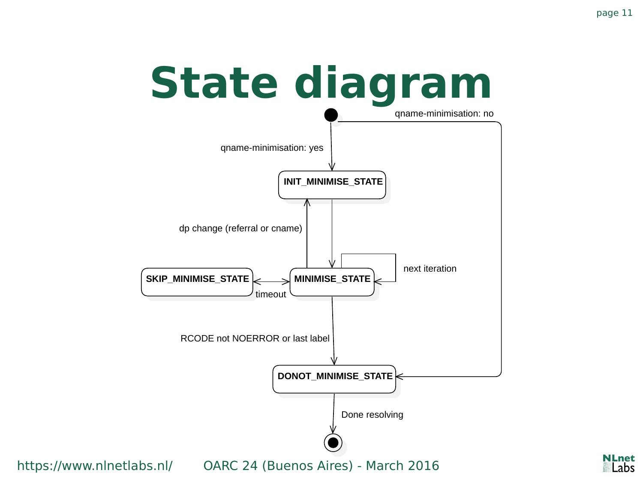.net Labs

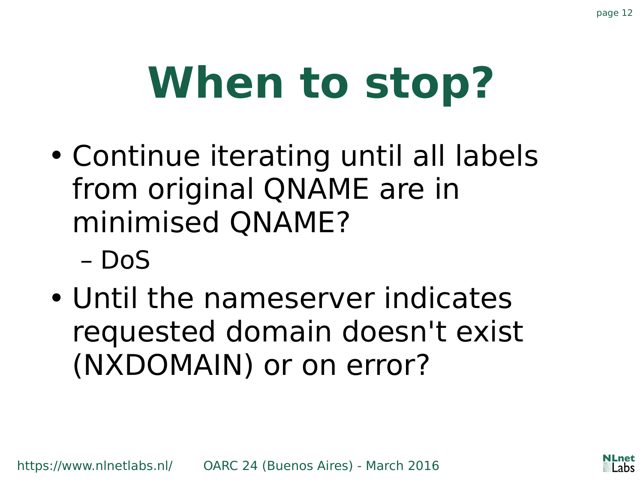# **When to stop?**

- Continue iterating until all labels from original QNAME are in minimised QNAME?
	- DoS
- Until the nameserver indicates requested domain doesn't exist (NXDOMAIN) or on error?

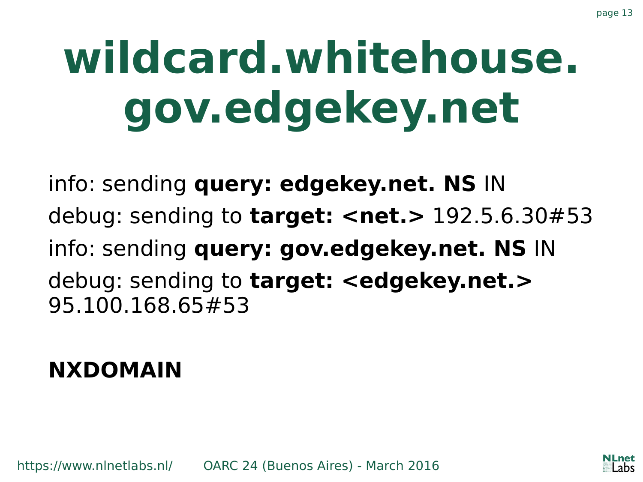## **wildcard.whitehouse. gov.edgekey.net**

info: sending **query: edgekey.net. NS** IN debug: sending to **target: <net.>** 192.5.6.30#53 info: sending **query: gov.edgekey.net. NS** IN debug: sending to **target: <edgekey.net.>** 95.100.168.65#53

#### **NXDOMAIN**



page 13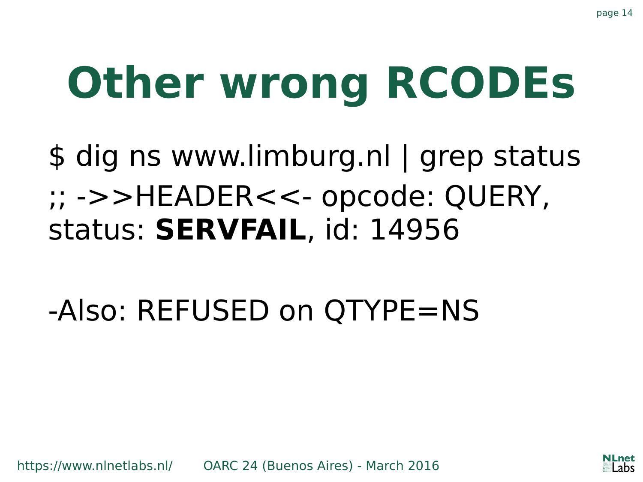# **Other wrong RCODEs**

\$ dig ns www.limburg.nl | grep status ;; ->>HEADER<<- opcode: QUERY, status: **SERVFAIL**, id: 14956

-Also: REFUSED on QTYPE=NS

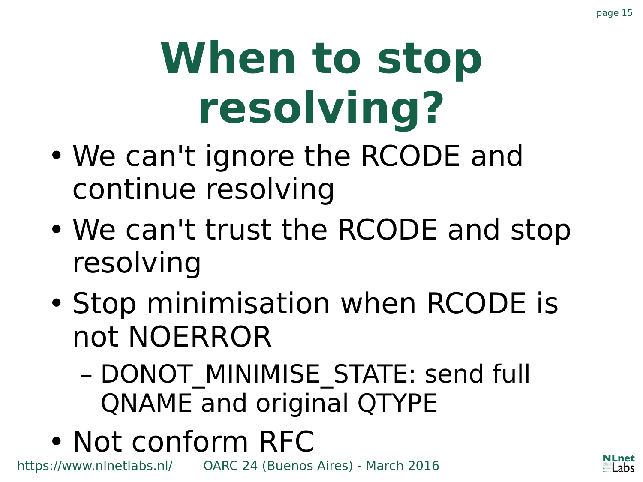# **When to stop resolving?**

- We can't ignore the RCODE and continue resolving
- We can't trust the RCODE and stop resolving
- Stop minimisation when RCODE is not NOERROR
	- DONOT\_MINIMISE\_STATE: send full QNAME and original QTYPE
- Not conform RFC

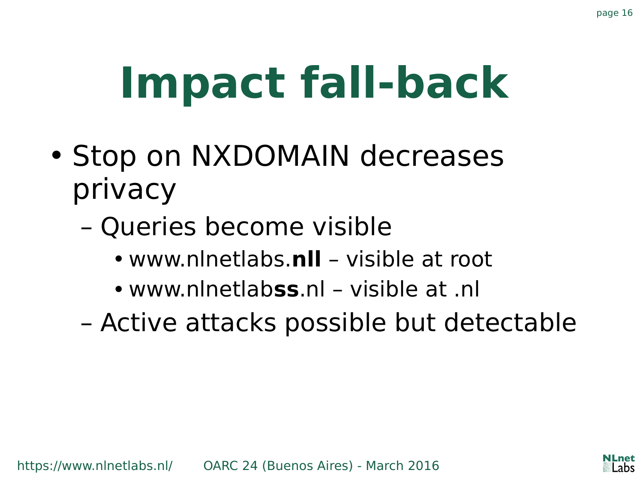# **Impact fall-back**

- Stop on NXDOMAIN decreases privacy
	- Queries become visible
		- www.nlnetlabs.**nll** visible at root
		- www.nlnetlab**ss**.nl visible at .nl
	- Active attacks possible but detectable

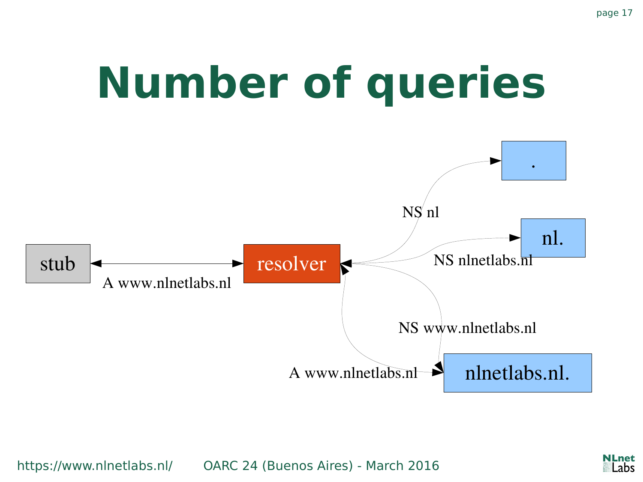

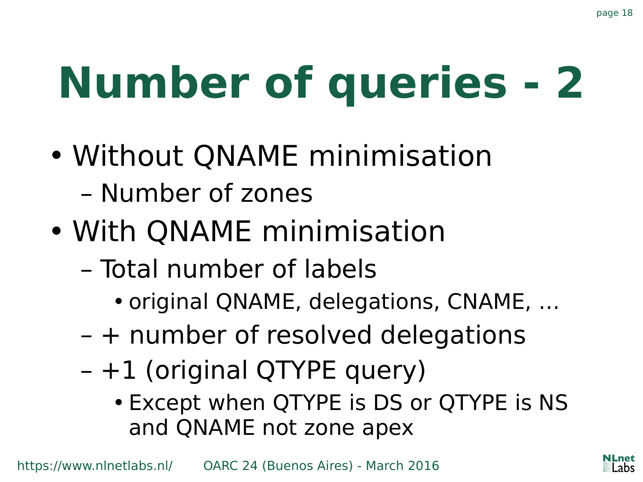# **Number of queries - 2**

- Without QNAME minimisation – Number of zones
- With QNAME minimisation
	- Total number of labels
		- original QNAME, delegations, CNAME, …
	- + number of resolved delegations
	- +1 (original QTYPE query)
		- Except when QTYPE is DS or QTYPE is NS and QNAME not zone apex

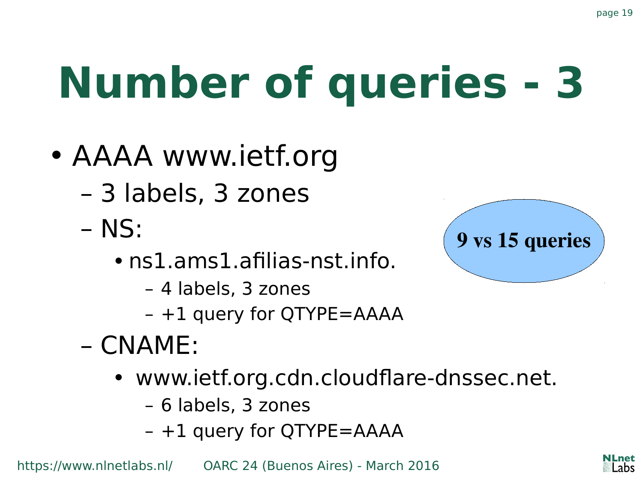# **Number of queries - 3**

- AAAA www.ietf.org
	- 3 labels, 3 zones
	- NS:
		- ns1.ams1.afilias-nst.info.
			- 4 labels, 3 zones
			- +1 query for QTYPE=AAAA
	- CNAME:
		- www.ietf.org.cdn.cloudflare-dnssec.net.
			- 6 labels, 3 zones
			- +1 query for QTYPE=AAAA



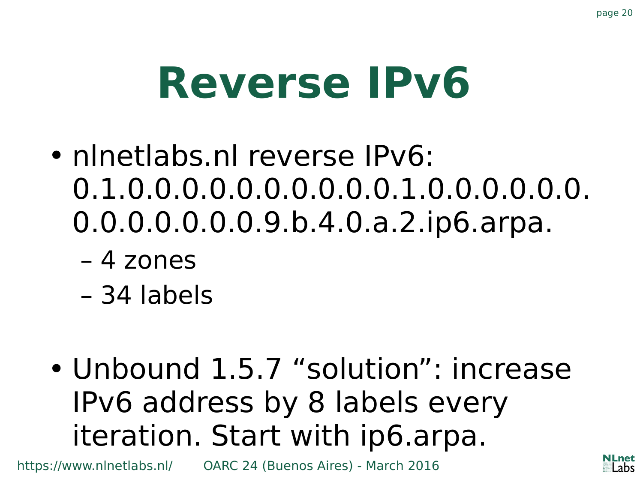#### **Reverse IPv6**

- nlnetlabs.nl reverse IPv6: 0.1.0.0.0.0.0.0.0.0.0.0.1.0.0.0.0.0.0. 0.0.0.0.0.0.0.9.b.4.0.a.2.ip6.arpa.
	- 4 zones
	- 34 labels
- Unbound 1.5.7 "solution": increase IPv6 address by 8 labels every iteration. Start with ip6.arpa.

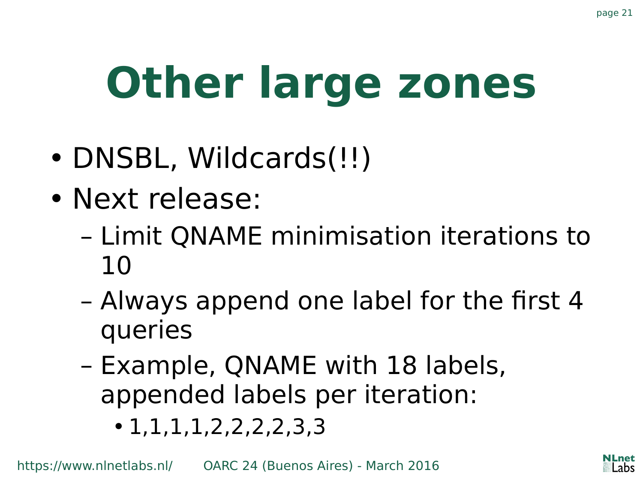# **Other large zones**

- DNSBL, Wildcards(!!)
- Next release:
	- Limit QNAME minimisation iterations to 10
	- Always append one label for the first 4 queries
	- Example, QNAME with 18 labels, appended labels per iteration:
		- $\cdot$  1, 1, 1, 1, 2, 2, 2, 2, 3, 3

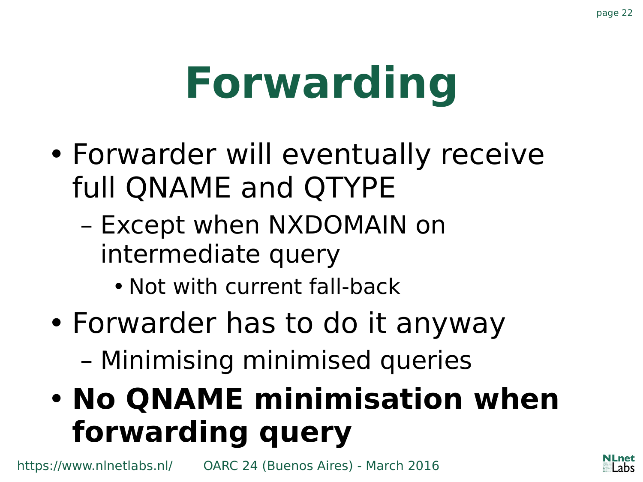## **Forwarding**

- Forwarder will eventually receive full QNAME and QTYPE
	- Except when NXDOMAIN on intermediate query
		- Not with current fall-back
- Forwarder has to do it anyway
	- Minimising minimised queries

#### • **No QNAME minimisation when forwarding query**

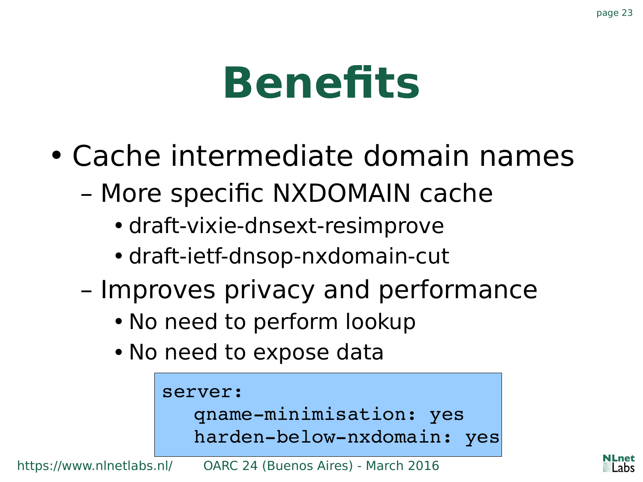#### **Benefits**

- Cache intermediate domain names
	- More specific NXDOMAIN cache
		- draft-vixie-dnsext-resimprove
		- draft-ietf-dnsop-nxdomain-cut
	- Improves privacy and performance
		- No need to perform lookup
		- No need to expose data

```
server:
qname-minimisation: yes
harden-below-nxdomain: yes
```
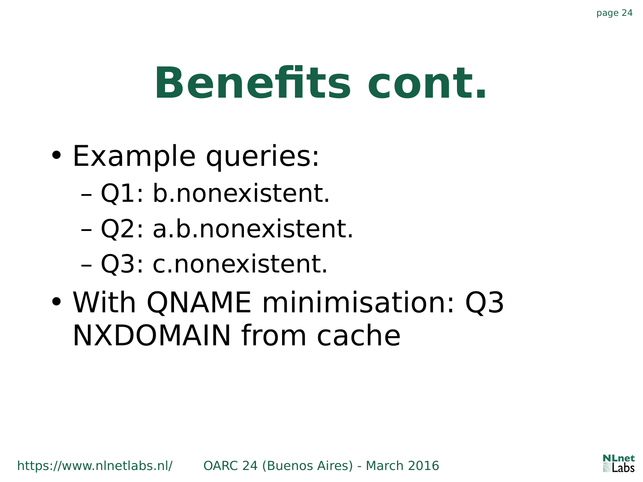#### **Benefits cont.**

- Example queries:
	- Q1: b.nonexistent.
	- Q2: a.b.nonexistent.
	- Q3: c.nonexistent.
- With QNAME minimisation: Q3 NXDOMAIN from cache

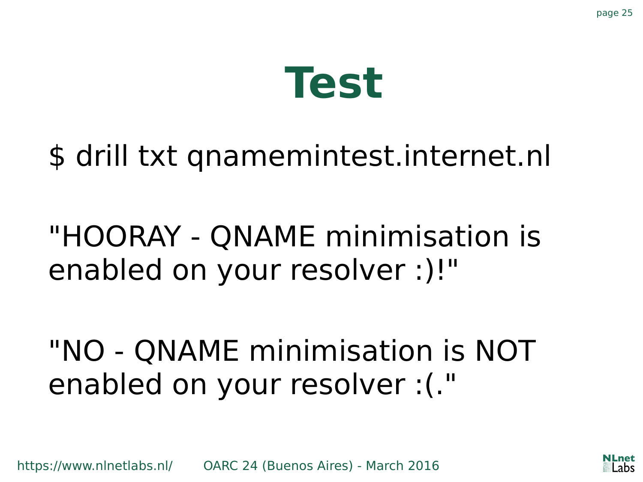

#### \$ drill txt qnamemintest.internet.nl

#### "HOORAY - QNAME minimisation is enabled on your resolver :)!"

"NO - QNAME minimisation is NOT enabled on your resolver :(."



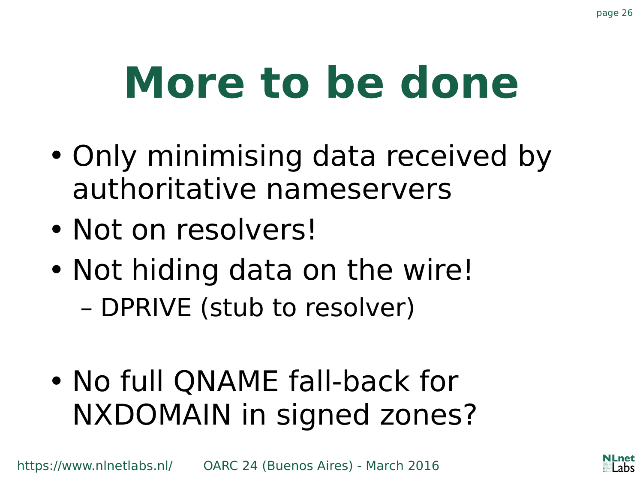#### **More to be done**

- Only minimising data received by authoritative nameservers
- Not on resolvers!
- Not hiding data on the wire! – DPRIVE (stub to resolver)
- No full QNAME fall-back for NXDOMAIN in signed zones?